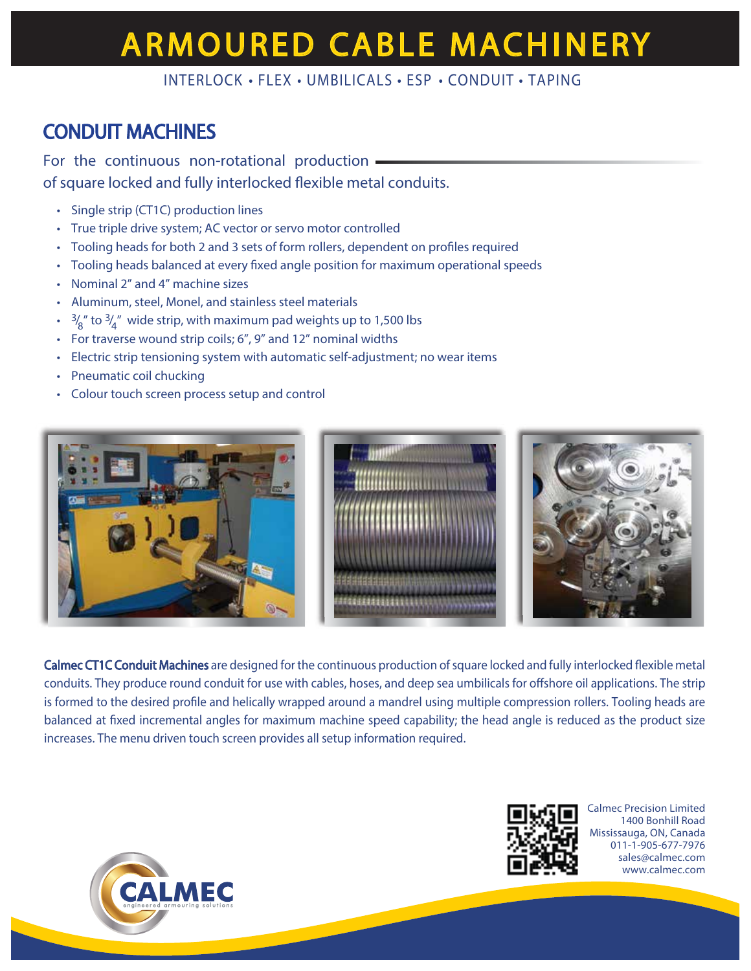# **ARMOURED CABLE MACHINERY**

### INTERLOCK • FLEX • UMBILICALS • ESP • CONDUIT • TAPING

# CONDUIT MACHINES

For the continuous non-rotational production of square locked and fully interlocked flexible metal conduits.

- Single strip (CT1C) production lines
- True triple drive system; AC vector or servo motor controlled
- Tooling heads for both 2 and 3 sets of form rollers, dependent on profiles required
- Tooling heads balanced at every fixed angle position for maximum operational speeds
- Nominal 2" and 4" machine sizes
- Aluminum, steel, Monel, and stainless steel materials
- $\cdot$   $\frac{3}{8}$ " to  $\frac{3}{4}$ " wide strip, with maximum pad weights up to 1,500 lbs
- For traverse wound strip coils; 6", 9" and 12" nominal widths
- Electric strip tensioning system with automatic self-adjustment; no wear items
- Pneumatic coil chucking
- Colour touch screen process setup and control



Calmec CT1C Conduit Machines are designed for the continuous production of square locked and fully interlocked flexible metal conduits. They produce round conduit for use with cables, hoses, and deep sea umbilicals for offshore oil applications. The strip is formed to the desired profile and helically wrapped around a mandrel using multiple compression rollers. Tooling heads are balanced at fixed incremental angles for maximum machine speed capability; the head angle is reduced as the product size increases. The menu driven touch screen provides all setup information required.



Calmec Precision Limited 1400 Bonhill Road Mississauga, ON, Canada 011-1-905-677-7976 sales@calmec.com www.calmec.com